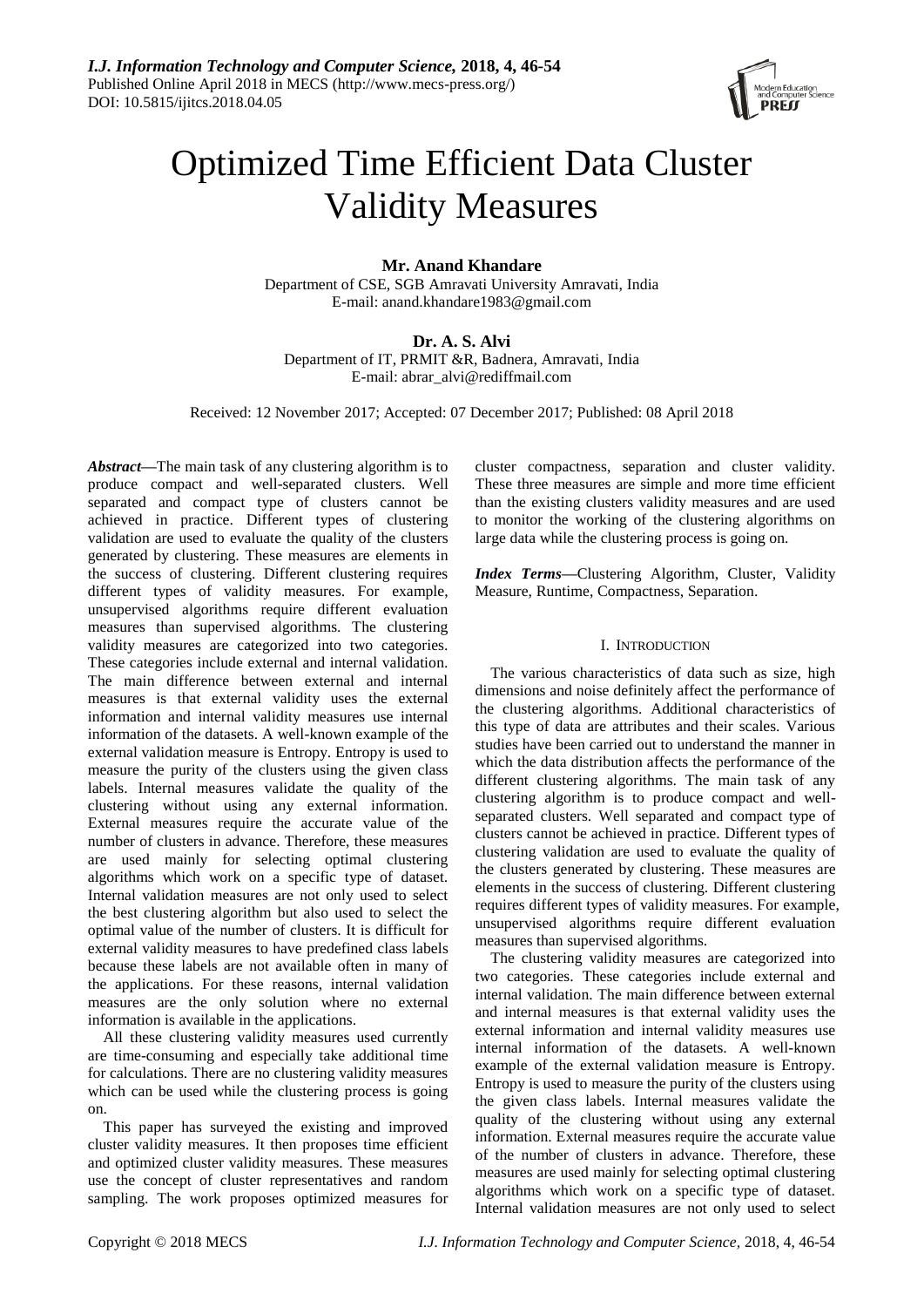

# Optimized Time Efficient Data Cluster Validity Measures

**Mr. Anand Khandare**

Department of CSE, SGB Amravati University Amravati, India E-mail: anand.khandare1983@gmail.com

**Dr. A. S. Alvi** Department of IT, PRMIT &R, Badnera, Amravati, India E-mail: abrar\_alvi@rediffmail.com

Received: 12 November 2017; Accepted: 07 December 2017; Published: 08 April 2018

*Abstract—*The main task of any clustering algorithm is to produce compact and well-separated clusters. Well separated and compact type of clusters cannot be achieved in practice. Different types of clustering validation are used to evaluate the quality of the clusters generated by clustering. These measures are elements in the success of clustering. Different clustering requires different types of validity measures. For example, unsupervised algorithms require different evaluation measures than supervised algorithms. The clustering validity measures are categorized into two categories. These categories include external and internal validation. The main difference between external and internal measures is that external validity uses the external information and internal validity measures use internal information of the datasets. A well-known example of the external validation measure is Entropy. Entropy is used to measure the purity of the clusters using the given class labels. Internal measures validate the quality of the clustering without using any external information. External measures require the accurate value of the number of clusters in advance. Therefore, these measures are used mainly for selecting optimal clustering algorithms which work on a specific type of dataset. Internal validation measures are not only used to select the best clustering algorithm but also used to select the optimal value of the number of clusters. It is difficult for external validity measures to have predefined class labels because these labels are not available often in many of the applications. For these reasons, internal validation measures are the only solution where no external information is available in the applications.

All these clustering validity measures used currently are time-consuming and especially take additional time for calculations. There are no clustering validity measures which can be used while the clustering process is going on.

This paper has surveyed the existing and improved cluster validity measures. It then proposes time efficient and optimized cluster validity measures. These measures use the concept of cluster representatives and random sampling. The work proposes optimized measures for

cluster compactness, separation and cluster validity. These three measures are simple and more time efficient than the existing clusters validity measures and are used to monitor the working of the clustering algorithms on large data while the clustering process is going on.

*Index Terms—*Clustering Algorithm, Cluster, Validity Measure, Runtime, Compactness, Separation.

## I. INTRODUCTION

The various characteristics of data such as size, high dimensions and noise definitely affect the performance of the clustering algorithms. Additional characteristics of this type of data are attributes and their scales. Various studies have been carried out to understand the manner in which the data distribution affects the performance of the different clustering algorithms. The main task of any clustering algorithm is to produce compact and wellseparated clusters. Well separated and compact type of clusters cannot be achieved in practice. Different types of clustering validation are used to evaluate the quality of the clusters generated by clustering. These measures are elements in the success of clustering. Different clustering requires different types of validity measures. For example, unsupervised algorithms require different evaluation measures than supervised algorithms.

The clustering validity measures are categorized into two categories. These categories include external and internal validation. The main difference between external and internal measures is that external validity uses the external information and internal validity measures use internal information of the datasets. A well-known example of the external validation measure is Entropy. Entropy is used to measure the purity of the clusters using the given class labels. Internal measures validate the quality of the clustering without using any external information. External measures require the accurate value of the number of clusters in advance. Therefore, these measures are used mainly for selecting optimal clustering algorithms which work on a specific type of dataset. Internal validation measures are not only used to select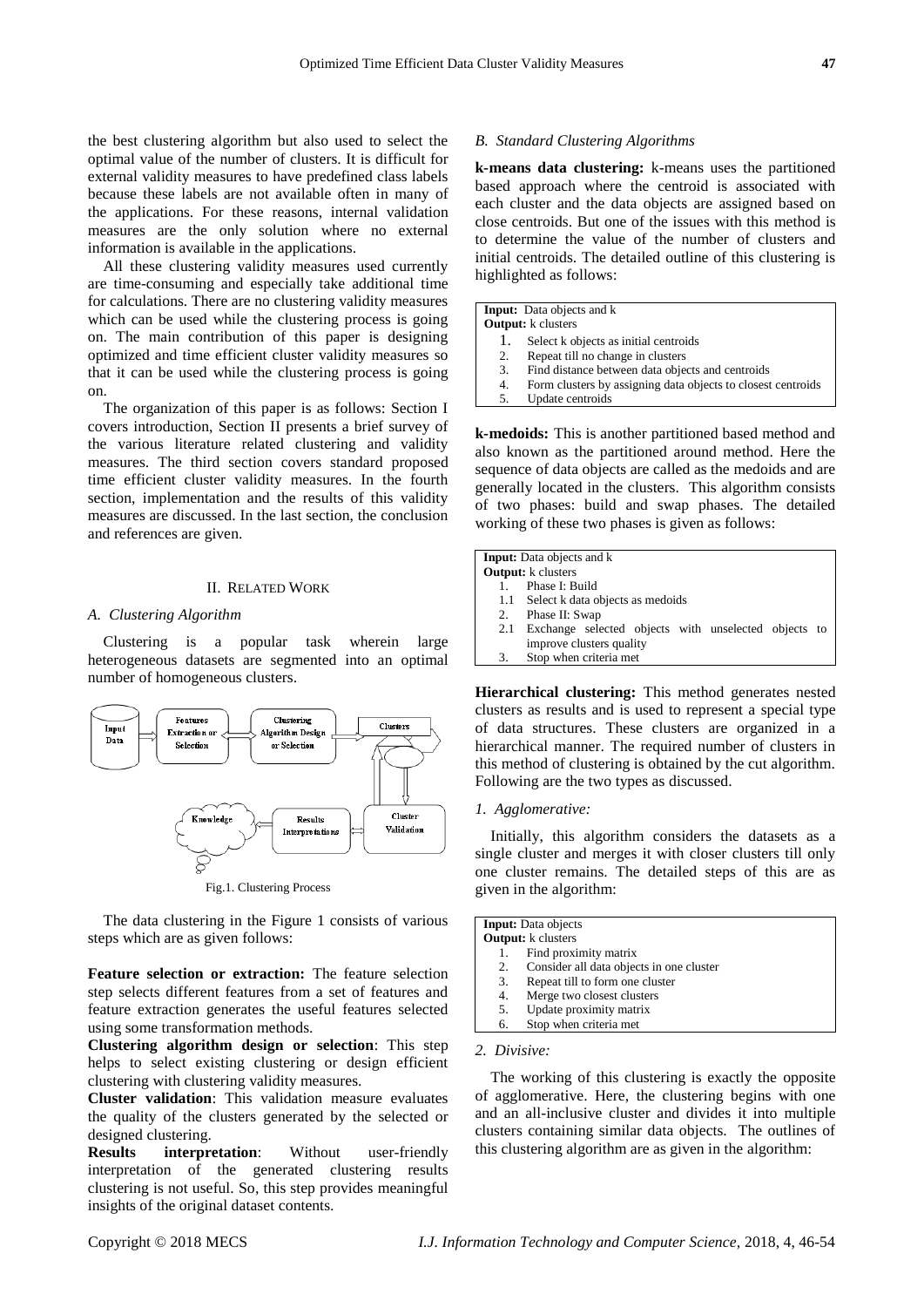the best clustering algorithm but also used to select the optimal value of the number of clusters. It is difficult for external validity measures to have predefined class labels because these labels are not available often in many of the applications. For these reasons, internal validation measures are the only solution where no external information is available in the applications.

All these clustering validity measures used currently are time-consuming and especially take additional time for calculations. There are no clustering validity measures which can be used while the clustering process is going on. The main contribution of this paper is designing optimized and time efficient cluster validity measures so that it can be used while the clustering process is going on.

The organization of this paper is as follows: Section I covers introduction, Section II presents a brief survey of the various literature related clustering and validity measures. The third section covers standard proposed time efficient cluster validity measures. In the fourth section, implementation and the results of this validity measures are discussed. In the last section, the conclusion and references are given.

# II. RELATED WORK

#### *A. Clustering Algorithm*

Clustering is a popular task wherein large heterogeneous datasets are segmented into an optimal number of homogeneous clusters.



Fig.1. Clustering Process

The data clustering in the Figure 1 consists of various steps which are as given follows:

**Feature selection or extraction:** The feature selection step selects different features from a set of features and feature extraction generates the useful features selected using some transformation methods.

**Clustering algorithm design or selection**: This step helps to select existing clustering or design efficient clustering with clustering validity measures.

**Cluster validation**: This validation measure evaluates the quality of the clusters generated by the selected or designed clustering.

**Results interpretation**: Without user-friendly interpretation of the generated clustering results clustering is not useful. So, this step provides meaningful insights of the original dataset contents.

## *B. Standard Clustering Algorithms*

**k-means data clustering:** k-means uses the partitioned based approach where the centroid is associated with each cluster and the data objects are assigned based on close centroids. But one of the issues with this method is to determine the value of the number of clusters and initial centroids. The detailed outline of this clustering is highlighted as follows:

**Input:** Data objects and k **Output:** k clusters

- 1. Select k objects as initial centroids
- 
- 2. Repeat till no change in clusters<br>3. Find distance between data obje
- 3. Find distance between data objects and centroids
- 4. Form clusters by assigning data objects to closest centroids<br>5. Undate centroids Update centroids

**k-medoids:** This is another partitioned based method and also known as the partitioned around method. Here the sequence of data objects are called as the medoids and are generally located in the clusters. This algorithm consists of two phases: build and swap phases. The detailed working of these two phases is given as follows:

|    | <b>Input:</b> Data objects and k                         |
|----|----------------------------------------------------------|
|    | <b>Output:</b> k clusters                                |
|    | Phase I: Build                                           |
|    | 1.1 Select k data objects as medoids                     |
| 2. | Phase II: Swap                                           |
|    | 2.1 Exchange selected objects with unselected objects to |
|    | improve clusters quality                                 |
| 3. | Stop when criteria met                                   |
|    |                                                          |
|    |                                                          |

**Hierarchical clustering:** This method generates nested clusters as results and is used to represent a special type of data structures. These clusters are organized in a hierarchical manner. The required number of clusters in this method of clustering is obtained by the cut algorithm. Following are the two types as discussed.

#### *1. Agglomerative:*

Initially, this algorithm considers the datasets as a single cluster and merges it with closer clusters till only one cluster remains. The detailed steps of this are as given in the algorithm:

|                           | <b>Input:</b> Data objects               |  |
|---------------------------|------------------------------------------|--|
| <b>Output:</b> k clusters |                                          |  |
|                           | Find proximity matrix                    |  |
| 2.                        | Consider all data objects in one cluster |  |
| 3.                        | Repeat till to form one cluster          |  |
| 4.                        | Merge two closest clusters               |  |
| 5.                        | Update proximity matrix                  |  |
| 6.                        | Stop when criteria met                   |  |
|                           |                                          |  |

#### *2. Divisive:*

The working of this clustering is exactly the opposite of agglomerative. Here, the clustering begins with one and an all-inclusive cluster and divides it into multiple clusters containing similar data objects. The outlines of this clustering algorithm are as given in the algorithm: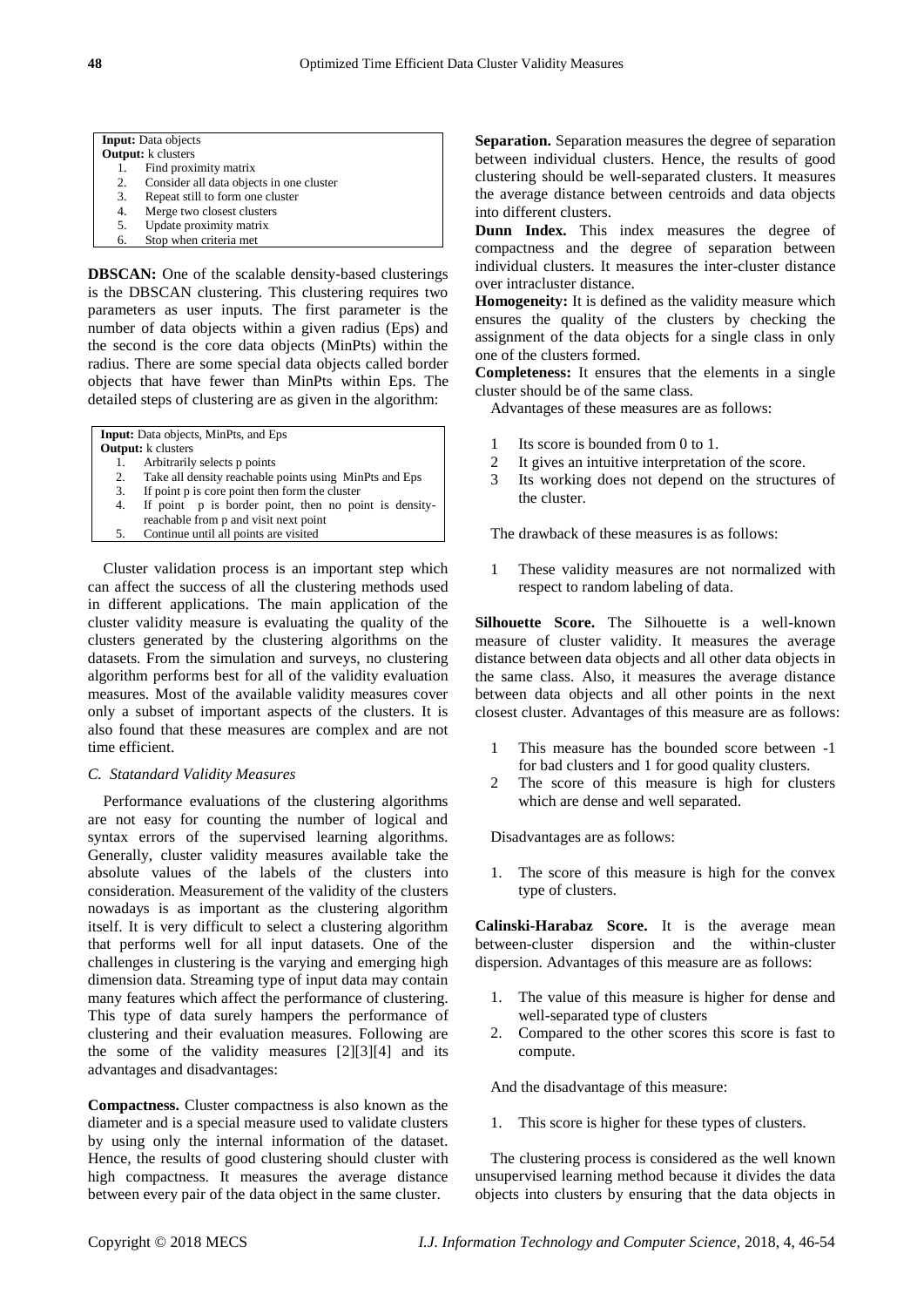| <b>Input:</b> Data objects |                                          |  |
|----------------------------|------------------------------------------|--|
| <b>Output:</b> k clusters  |                                          |  |
|                            | Find proximity matrix                    |  |
| 2.                         | Consider all data objects in one cluster |  |
| 3.                         | Repeat still to form one cluster         |  |
| 4.                         | Merge two closest clusters               |  |
| 5.                         | Update proximity matrix                  |  |
| 6.                         | Stop when criteria met                   |  |

**DBSCAN:** One of the scalable density-based clusterings is the DBSCAN clustering. This clustering requires two parameters as user inputs. The first parameter is the number of data objects within a given radius (Eps) and the second is the core data objects (MinPts) within the radius. There are some special data objects called border objects that have fewer than MinPts within Eps. The detailed steps of clustering are as given in the algorithm:

|    | <b>Input:</b> Data objects, MinPts, and Eps            |
|----|--------------------------------------------------------|
|    | <b>Output:</b> k clusters                              |
| 1. | Arbitrarily selects p points                           |
| 2. | Take all density reachable points using MinPts and Eps |
|    | If point p is gore point than form the eluster         |

- 3. If point p is core point then form the cluster  $\frac{4}{5}$  If point p is border point then no po
- If point p is border point, then no point is densityreachable from p and visit next point
- 5. Continue until all points are visited

Cluster validation process is an important step which can affect the success of all the clustering methods used in different applications. The main application of the cluster validity measure is evaluating the quality of the clusters generated by the clustering algorithms on the datasets. From the simulation and surveys, no clustering algorithm performs best for all of the validity evaluation measures. Most of the available validity measures cover only a subset of important aspects of the clusters. It is also found that these measures are complex and are not time efficient.

## *C. Statandard Validity Measures*

Performance evaluations of the clustering algorithms are not easy for counting the number of logical and syntax errors of the supervised learning algorithms. Generally, cluster validity measures available take the absolute values of the labels of the clusters into consideration. Measurement of the validity of the clusters nowadays is as important as the clustering algorithm itself. It is very difficult to select a clustering algorithm that performs well for all input datasets. One of the challenges in clustering is the varying and emerging high dimension data. Streaming type of input data may contain many features which affect the performance of clustering. This type of data surely hampers the performance of clustering and their evaluation measures. Following are the some of the validity measures [2][3][4] and its advantages and disadvantages:

**Compactness.** Cluster compactness is also known as the diameter and is a special measure used to validate clusters by using only the internal information of the dataset. Hence, the results of good clustering should cluster with high compactness. It measures the average distance between every pair of the data object in the same cluster.

**Separation.** Separation measures the degree of separation between individual clusters. Hence, the results of good clustering should be well-separated clusters. It measures the average distance between centroids and data objects into different clusters.

**Dunn Index.** This index measures the degree of compactness and the degree of separation between individual clusters. It measures the inter-cluster distance over intracluster distance.

**Homogeneity:** It is defined as the validity measure which ensures the quality of the clusters by checking the assignment of the data objects for a single class in only one of the clusters formed.

**Completeness:** It ensures that the elements in a single cluster should be of the same class.

Advantages of these measures are as follows:

- 1 Its score is bounded from 0 to 1.
- 2 It gives an intuitive interpretation of the score.
- 3 Its working does not depend on the structures of the cluster.

The drawback of these measures is as follows:

1 These validity measures are not normalized with respect to random labeling of data.

**Silhouette Score.** The Silhouette is a well-known measure of cluster validity. It measures the average distance between data objects and all other data objects in the same class. Also, it measures the average distance between data objects and all other points in the next closest cluster. Advantages of this measure are as follows:

- 1 This measure has the bounded score between -1 for bad clusters and 1 for good quality clusters.
- 2 The score of this measure is high for clusters which are dense and well separated.

Disadvantages are as follows:

1. The score of this measure is high for the convex type of clusters.

**Calinski-Harabaz Score.** It is the average mean between-cluster dispersion and the within-cluster dispersion. Advantages of this measure are as follows:

- 1. The value of this measure is higher for dense and well-separated type of clusters
- 2. Compared to the other scores this score is fast to compute.

And the disadvantage of this measure:

1. This score is higher for these types of clusters.

The clustering process is considered as the well known unsupervised learning method because it divides the data objects into clusters by ensuring that the data objects in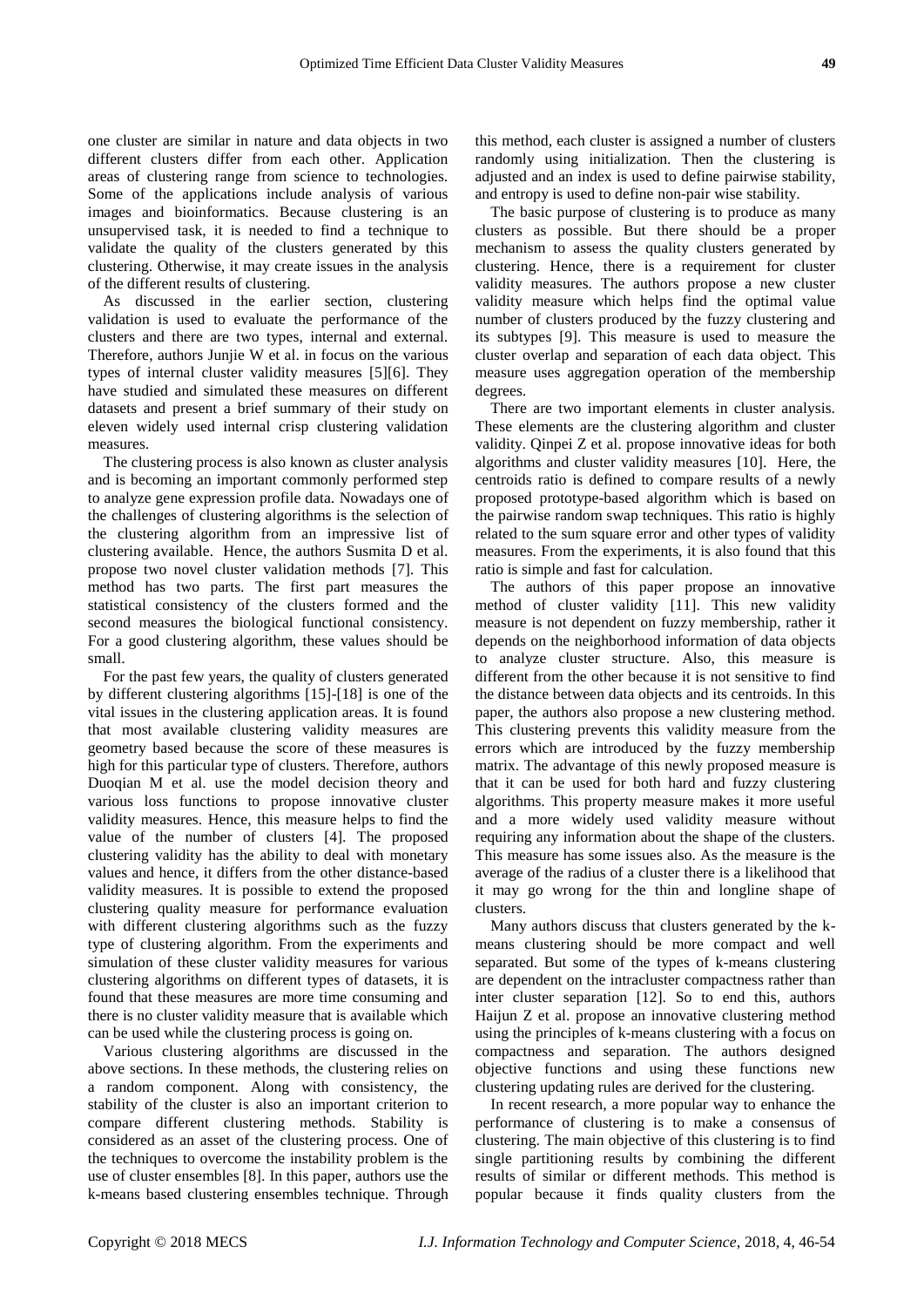one cluster are similar in nature and data objects in two different clusters differ from each other. Application areas of clustering range from science to technologies. Some of the applications include analysis of various images and bioinformatics. Because clustering is an unsupervised task, it is needed to find a technique to validate the quality of the clusters generated by this clustering. Otherwise, it may create issues in the analysis of the different results of clustering.

As discussed in the earlier section, clustering validation is used to evaluate the performance of the clusters and there are two types, internal and external. Therefore, authors Junjie W et al. in focus on the various types of internal cluster validity measures [5][6]. They have studied and simulated these measures on different datasets and present a brief summary of their study on eleven widely used internal crisp clustering validation measures.

The clustering process is also known as cluster analysis and is becoming an important commonly performed step to analyze gene expression profile data. Nowadays one of the challenges of clustering algorithms is the selection of the clustering algorithm from an impressive list of clustering available. Hence, the authors Susmita D et al. propose two novel cluster validation methods [7]. This method has two parts. The first part measures the statistical consistency of the clusters formed and the second measures the biological functional consistency. For a good clustering algorithm, these values should be small.

For the past few years, the quality of clusters generated by different clustering algorithms [15]-[18] is one of the vital issues in the clustering application areas. It is found that most available clustering validity measures are geometry based because the score of these measures is high for this particular type of clusters. Therefore, authors Duoqian M et al. use the model decision theory and various loss functions to propose innovative cluster validity measures. Hence, this measure helps to find the value of the number of clusters [4]. The proposed clustering validity has the ability to deal with monetary values and hence, it differs from the other distance-based validity measures. It is possible to extend the proposed clustering quality measure for performance evaluation with different clustering algorithms such as the fuzzy type of clustering algorithm. From the experiments and simulation of these cluster validity measures for various clustering algorithms on different types of datasets, it is found that these measures are more time consuming and there is no cluster validity measure that is available which can be used while the clustering process is going on.

Various clustering algorithms are discussed in the above sections. In these methods, the clustering relies on a random component. Along with consistency, the stability of the cluster is also an important criterion to compare different clustering methods. Stability is considered as an asset of the clustering process. One of the techniques to overcome the instability problem is the use of cluster ensembles [8]. In this paper, authors use the k-means based clustering ensembles technique. Through this method, each cluster is assigned a number of clusters randomly using initialization. Then the clustering is adjusted and an index is used to define pairwise stability, and entropy is used to define non-pair wise stability.

The basic purpose of clustering is to produce as many clusters as possible. But there should be a proper mechanism to assess the quality clusters generated by clustering. Hence, there is a requirement for cluster validity measures. The authors propose a new cluster validity measure which helps find the optimal value number of clusters produced by the fuzzy clustering and its subtypes [9]. This measure is used to measure the cluster overlap and separation of each data object. This measure uses aggregation operation of the membership degrees.

There are two important elements in cluster analysis. These elements are the clustering algorithm and cluster validity. Qinpei Z et al. propose innovative ideas for both algorithms and cluster validity measures [10]. Here, the centroids ratio is defined to compare results of a newly proposed prototype-based algorithm which is based on the pairwise random swap techniques. This ratio is highly related to the sum square error and other types of validity measures. From the experiments, it is also found that this ratio is simple and fast for calculation.

The authors of this paper propose an innovative method of cluster validity [11]. This new validity measure is not dependent on fuzzy membership, rather it depends on the neighborhood information of data objects to analyze cluster structure. Also, this measure is different from the other because it is not sensitive to find the distance between data objects and its centroids. In this paper, the authors also propose a new clustering method. This clustering prevents this validity measure from the errors which are introduced by the fuzzy membership matrix. The advantage of this newly proposed measure is that it can be used for both hard and fuzzy clustering algorithms. This property measure makes it more useful and a more widely used validity measure without requiring any information about the shape of the clusters. This measure has some issues also. As the measure is the average of the radius of a cluster there is a likelihood that it may go wrong for the thin and longline shape of clusters.

Many authors discuss that clusters generated by the kmeans clustering should be more compact and well separated. But some of the types of k-means clustering are dependent on the intracluster compactness rather than inter cluster separation [12]. So to end this, authors Haijun Z et al. propose an innovative clustering method using the principles of k-means clustering with a focus on compactness and separation. The authors designed objective functions and using these functions new clustering updating rules are derived for the clustering.

In recent research, a more popular way to enhance the performance of clustering is to make a consensus of clustering. The main objective of this clustering is to find single partitioning results by combining the different results of similar or different methods. This method is popular because it finds quality clusters from the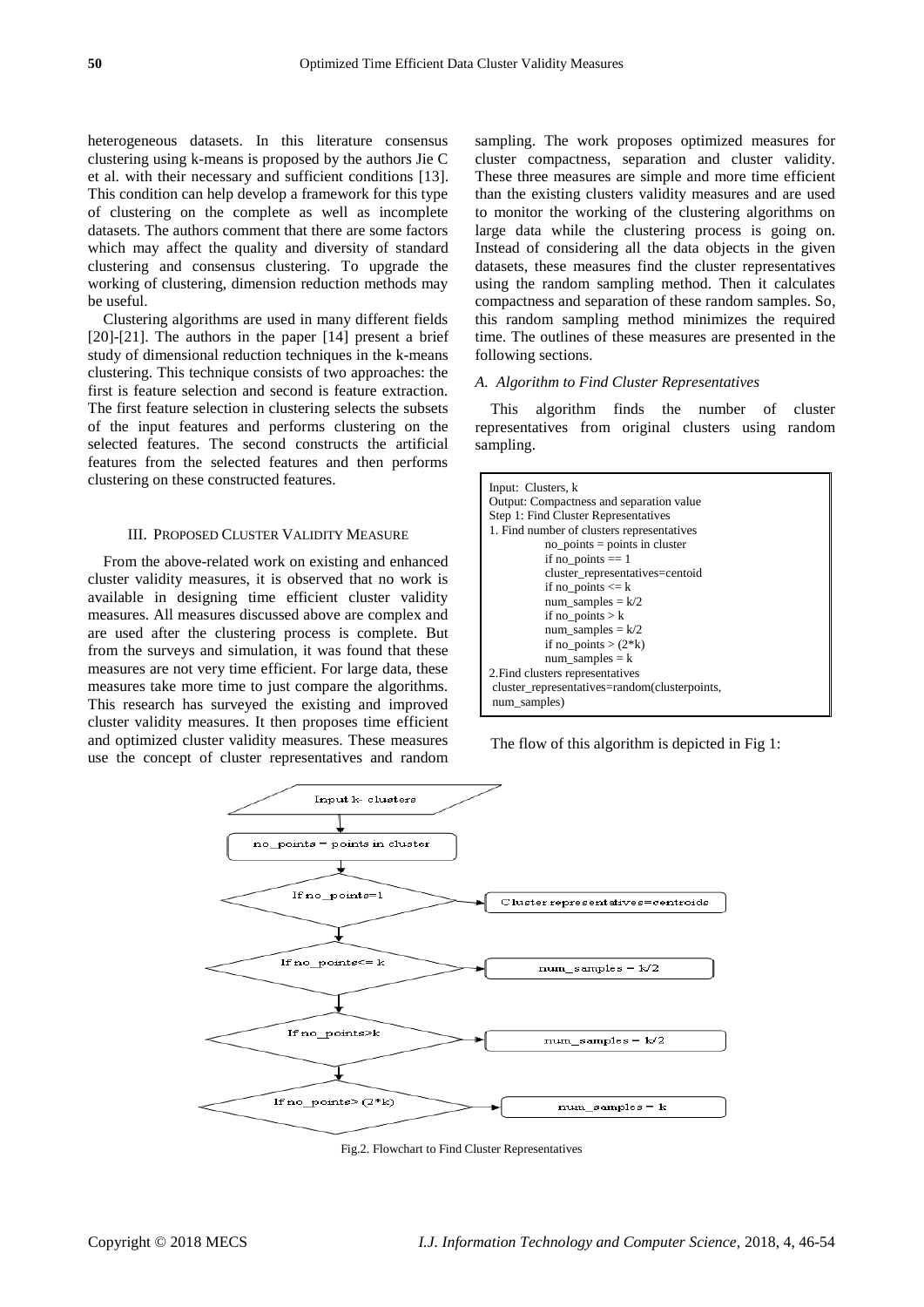heterogeneous datasets. In this literature consensus clustering using k-means is proposed by the authors Jie C et al. with their necessary and sufficient conditions [13]. This condition can help develop a framework for this type of clustering on the complete as well as incomplete datasets. The authors comment that there are some factors which may affect the quality and diversity of standard clustering and consensus clustering. To upgrade the working of clustering, dimension reduction methods may be useful.

Clustering algorithms are used in many different fields [20]-[21]. The authors in the paper [14] present a brief study of dimensional reduction techniques in the k-means clustering. This technique consists of two approaches: the first is feature selection and second is feature extraction. The first feature selection in clustering selects the subsets of the input features and performs clustering on the selected features. The second constructs the artificial features from the selected features and then performs clustering on these constructed features.

### III. PROPOSED CLUSTER VALIDITY MEASURE

From the above-related work on existing and enhanced cluster validity measures, it is observed that no work is available in designing time efficient cluster validity measures. All measures discussed above are complex and are used after the clustering process is complete. But from the surveys and simulation, it was found that these measures are not very time efficient. For large data, these measures take more time to just compare the algorithms. This research has surveyed the existing and improved cluster validity measures. It then proposes time efficient and optimized cluster validity measures. These measures use the concept of cluster representatives and random sampling. The work proposes optimized measures for cluster compactness, separation and cluster validity. These three measures are simple and more time efficient than the existing clusters validity measures and are used to monitor the working of the clustering algorithms on large data while the clustering process is going on. Instead of considering all the data objects in the given datasets, these measures find the cluster representatives using the random sampling method. Then it calculates compactness and separation of these random samples. So, this random sampling method minimizes the required time. The outlines of these measures are presented in the following sections.

## *A. Algorithm to Find Cluster Representatives*

This algorithm finds the number of cluster representatives from original clusters using random sampling.

| Input: Clusters, k                            |  |  |  |  |
|-----------------------------------------------|--|--|--|--|
| Output: Compactness and separation value      |  |  |  |  |
| Step 1: Find Cluster Representatives          |  |  |  |  |
| 1. Find number of clusters representatives    |  |  |  |  |
| $no\_points = points in cluster$              |  |  |  |  |
| if no_points $== 1$                           |  |  |  |  |
| cluster representatives=centoid               |  |  |  |  |
| if no points $\leq k$                         |  |  |  |  |
| num_samples = $k/2$                           |  |  |  |  |
| if no points $> k$                            |  |  |  |  |
| num_samples = $k/2$                           |  |  |  |  |
| if no points $>(2 * k)$                       |  |  |  |  |
| $num\_samples = k$                            |  |  |  |  |
| 2. Find clusters representatives              |  |  |  |  |
| cluster_representatives=random(clusterpoints, |  |  |  |  |
| num_samples)                                  |  |  |  |  |

The flow of this algorithm is depicted in Fig 1:



Fig.2. Flowchart to Find Cluster Representatives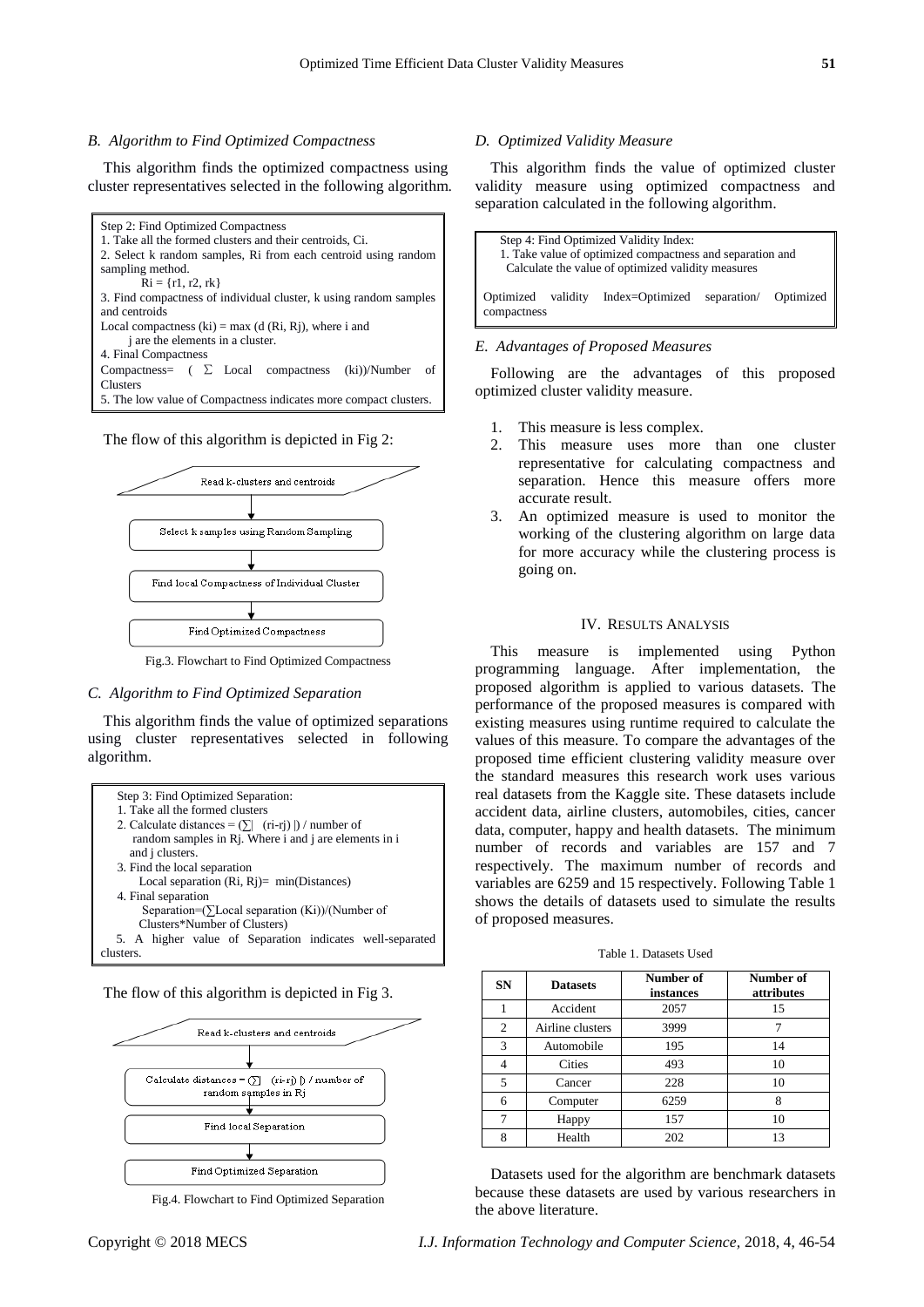### *B. Algorithm to Find Optimized Compactness*

This algorithm finds the optimized compactness using cluster representatives selected in the following algorithm.



The flow of this algorithm is depicted in Fig 2:



Fig.3. Flowchart to Find Optimized Compactness

### *C. Algorithm to Find Optimized Separation*

This algorithm finds the value of optimized separations using cluster representatives selected in following algorithm.



The flow of this algorithm is depicted in Fig 3.



Fig.4. Flowchart to Find Optimized Separation

## *D. Optimized Validity Measure*

This algorithm finds the value of optimized cluster validity measure using optimized compactness and separation calculated in the following algorithm.

| Step 4: Find Optimized Validity Index:                    |  |                 |             |           |
|-----------------------------------------------------------|--|-----------------|-------------|-----------|
| 1. Take value of optimized compactness and separation and |  |                 |             |           |
| Calculate the value of optimized validity measures        |  |                 |             |           |
|                                                           |  |                 |             |           |
| Optimized validity                                        |  | Index=Optimized | separation/ | Optimized |
| compactness                                               |  |                 |             |           |
|                                                           |  |                 |             |           |

## *E. Advantages of Proposed Measures*

Following are the advantages of this proposed optimized cluster validity measure.

- 1. This measure is less complex.
- 2. This measure uses more than one cluster representative for calculating compactness and separation. Hence this measure offers more accurate result.
- 3. An optimized measure is used to monitor the working of the clustering algorithm on large data for more accuracy while the clustering process is going on.

# IV. RESULTS ANALYSIS

This measure is implemented using Python programming language. After implementation, the proposed algorithm is applied to various datasets. The performance of the proposed measures is compared with existing measures using runtime required to calculate the values of this measure. To compare the advantages of the proposed time efficient clustering validity measure over the standard measures this research work uses various real datasets from the Kaggle site. These datasets include accident data, airline clusters, automobiles, cities, cancer data, computer, happy and health datasets. The minimum number of records and variables are 157 and 7 respectively. The maximum number of records and variables are 6259 and 15 respectively. Following Table 1 shows the details of datasets used to simulate the results of proposed measures.

Table 1. Datasets Used

| <b>SN</b>      | <b>Datasets</b>  | Number of<br>instances | Number of<br>attributes |
|----------------|------------------|------------------------|-------------------------|
|                | Accident         | 2057                   | 15                      |
| $\overline{2}$ | Airline clusters | 3999                   |                         |
| 3              | Automobile       | 195                    | 14                      |
| $\overline{4}$ | Cities           | 493                    | 10                      |
| 5              | Cancer           | 228                    | 10                      |
| 6              | Computer         | 6259                   | 8                       |
| 7              | Happy            | 157                    | 10                      |
| 8              | Health           | 202                    | 13                      |

Datasets used for the algorithm are benchmark datasets because these datasets are used by various researchers in the above literature.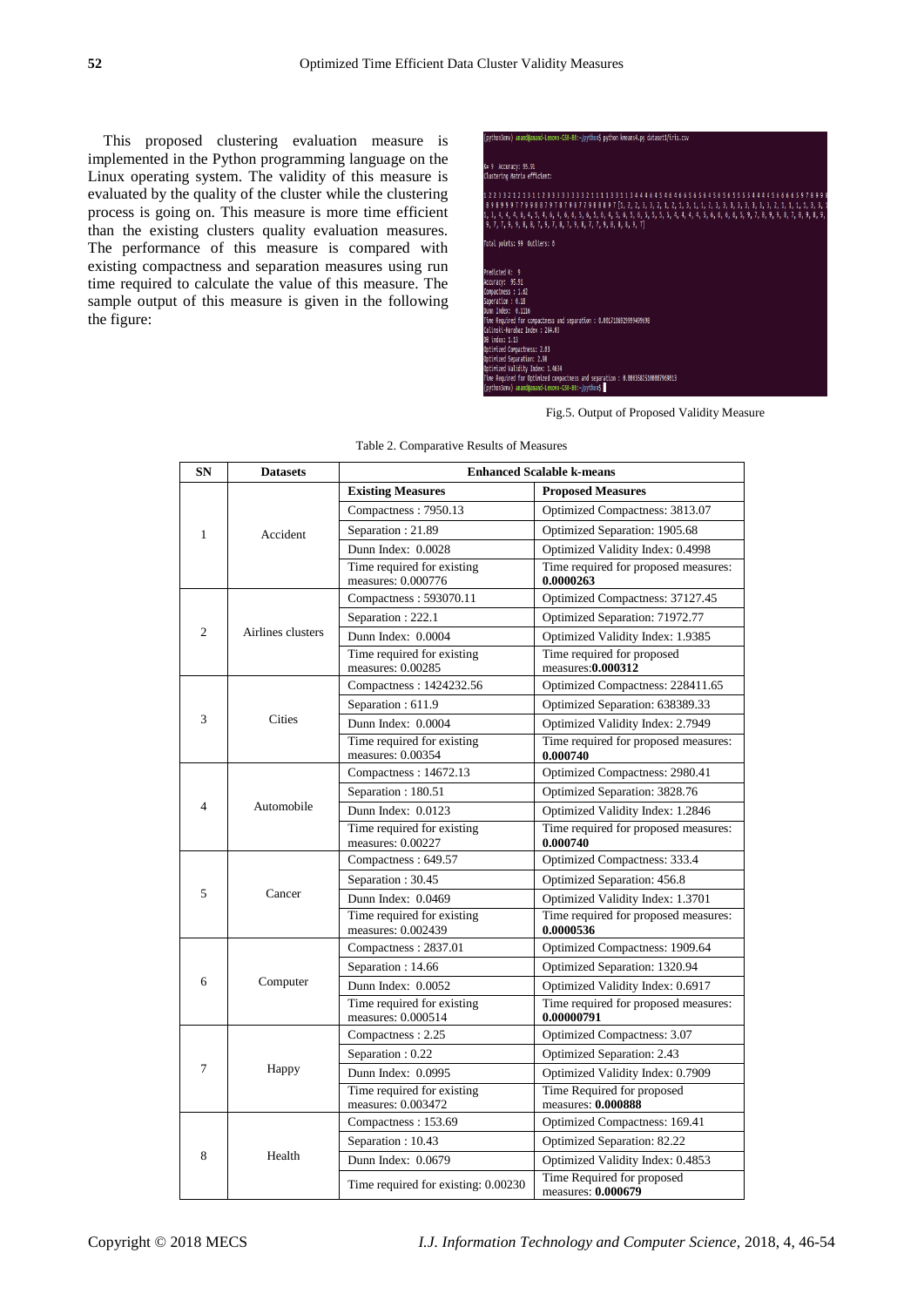This proposed clustering evaluation measure is implemented in the Python programming language on the Linux operating system. The validity of this measure is evaluated by the quality of the cluster while the clustering process is going on. This measure is more time efficient than the existing clusters quality evaluation measures. The performance of this measure is compared with existing compactness and separation measures using run time required to calculate the value of this measure. The sample output of this measure is given in the following the figure:

.<br>9 Accuracy: 95.91<br>istering Matrix efficient: 4, 4, 6, 4, 5, 4, 6, 4,<br>9, 9, 8, 8, 7, 9, 7, 8, tal points: 99 Outliers: 0 dicted K: 9 ampactness and separation : 0.001710697999 Todex : 264.83 A ARASSROSSARA

Fig.5. Output of Proposed Validity Measure

| <b>SN</b>      | <b>Datasets</b>   | <b>Enhanced Scalable k-means</b>                 |                                                    |  |
|----------------|-------------------|--------------------------------------------------|----------------------------------------------------|--|
|                |                   | <b>Existing Measures</b>                         | <b>Proposed Measures</b>                           |  |
| $\mathbf{1}$   |                   | Compactness: 7950.13                             | Optimized Compactness: 3813.07                     |  |
|                | Accident          | Separation: 21.89                                | Optimized Separation: 1905.68                      |  |
|                |                   | Dunn Index: 0.0028                               | Optimized Validity Index: 0.4998                   |  |
|                |                   | Time required for existing<br>measures: 0.000776 | Time required for proposed measures:<br>0.0000263  |  |
|                |                   | Compactness: 593070.11                           | Optimized Compactness: 37127.45                    |  |
|                |                   | Separation: 222.1                                | Optimized Separation: 71972.77                     |  |
| $\mathfrak{2}$ | Airlines clusters | Dunn Index: 0.0004                               | Optimized Validity Index: 1.9385                   |  |
|                |                   | Time required for existing<br>measures: 0.00285  | Time required for proposed<br>measures: 0.000312   |  |
|                |                   | Compactness: 1424232.56                          | Optimized Compactness: 228411.65                   |  |
|                |                   | Separation: 611.9                                | Optimized Separation: 638389.33                    |  |
| 3              | Cities            | Dunn Index: 0.0004                               | Optimized Validity Index: 2.7949                   |  |
|                |                   | Time required for existing<br>measures: 0.00354  | Time required for proposed measures:<br>0.000740   |  |
|                |                   | Compactness: 14672.13                            | Optimized Compactness: 2980.41                     |  |
|                |                   | Separation: 180.51                               | Optimized Separation: 3828.76                      |  |
| $\overline{4}$ | Automobile        | Dunn Index: 0.0123                               | Optimized Validity Index: 1.2846                   |  |
|                |                   | Time required for existing<br>measures: 0.00227  | Time required for proposed measures:<br>0.000740   |  |
|                |                   | Compactness: 649.57                              | Optimized Compactness: 333.4                       |  |
|                | Cancer            | Separation: 30.45                                | Optimized Separation: 456.8                        |  |
| 5              |                   | Dunn Index: 0.0469                               | Optimized Validity Index: 1.3701                   |  |
|                |                   | Time required for existing<br>measures: 0.002439 | Time required for proposed measures:<br>0.0000536  |  |
|                | Computer          | Compactness: 2837.01                             | Optimized Compactness: 1909.64                     |  |
|                |                   | Separation: 14.66                                | Optimized Separation: 1320.94                      |  |
| 6              |                   | Dunn Index: 0.0052                               | Optimized Validity Index: 0.6917                   |  |
|                |                   | Time required for existing<br>measures: 0.000514 | Time required for proposed measures:<br>0.00000791 |  |
| 7              |                   | Compactness: 2.25                                | Optimized Compactness: 3.07                        |  |
|                |                   | Separation : 0.22                                | Optimized Separation: 2.43                         |  |
|                | Happy             | Dunn Index: 0.0995                               | Optimized Validity Index: 0.7909                   |  |
|                |                   | Time required for existing<br>measures: 0.003472 | Time Required for proposed<br>measures: 0.000888   |  |
|                | Health            | Compactness: 153.69                              | Optimized Compactness: 169.41                      |  |
|                |                   | Separation: 10.43                                | Optimized Separation: 82.22                        |  |
| 8              |                   | Dunn Index: 0.0679                               | Optimized Validity Index: 0.4853                   |  |
|                |                   | Time required for existing: 0.00230              | Time Required for proposed<br>measures: 0.000679   |  |

Table 2. Comparative Results of Measures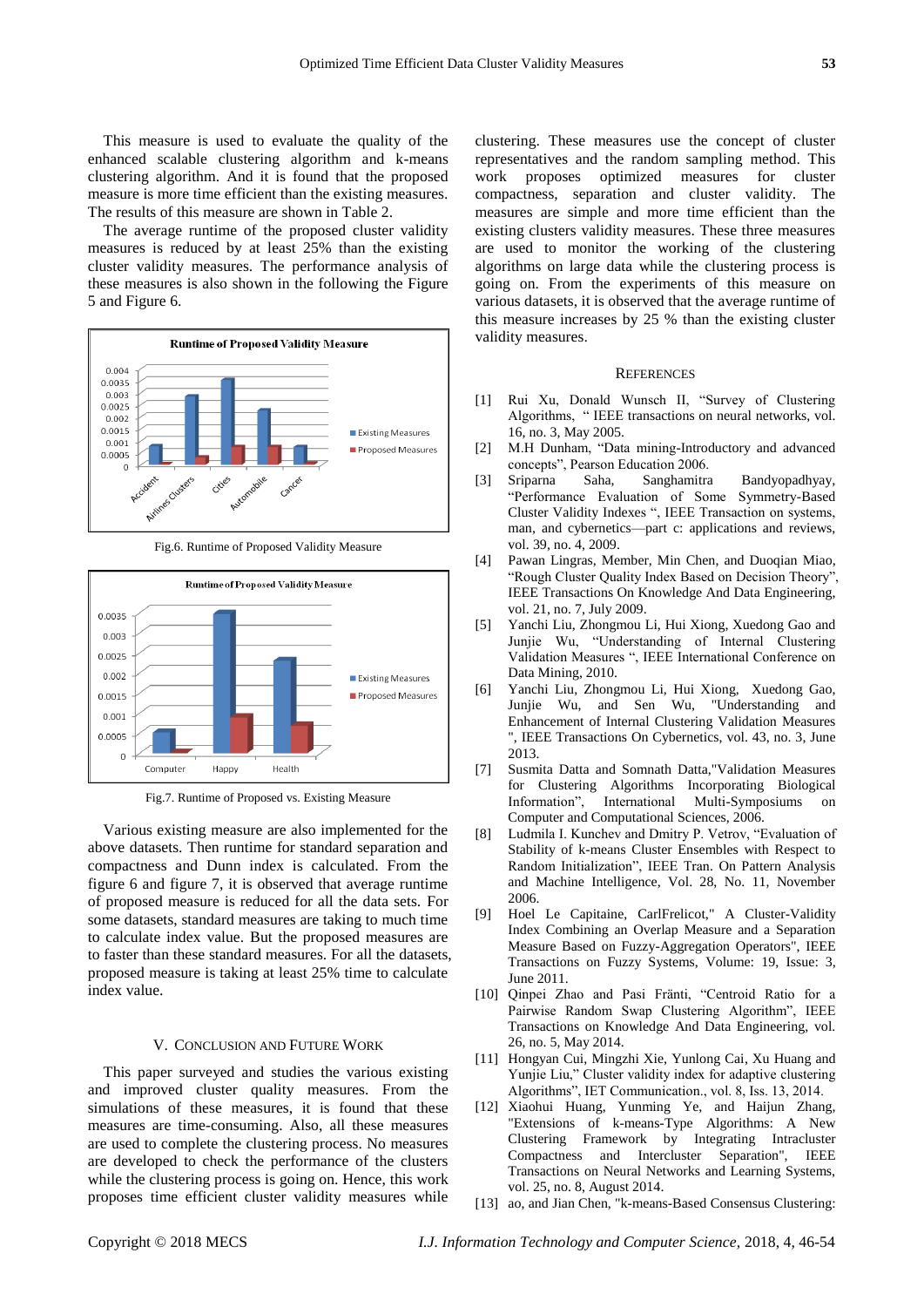This measure is used to evaluate the quality of the enhanced scalable clustering algorithm and k-means clustering algorithm. And it is found that the proposed measure is more time efficient than the existing measures. The results of this measure are shown in Table 2.

The average runtime of the proposed cluster validity measures is reduced by at least 25% than the existing cluster validity measures. The performance analysis of these measures is also shown in the following the Figure 5 and Figure 6.



Fig.6. Runtime of Proposed Validity Measure



Fig.7. Runtime of Proposed vs. Existing Measure

Various existing measure are also implemented for the above datasets. Then runtime for standard separation and compactness and Dunn index is calculated. From the figure 6 and figure 7, it is observed that average runtime of proposed measure is reduced for all the data sets. For some datasets, standard measures are taking to much time to calculate index value. But the proposed measures are to faster than these standard measures. For all the datasets, proposed measure is taking at least 25% time to calculate index value.

## V. CONCLUSION AND FUTURE WORK

This paper surveyed and studies the various existing and improved cluster quality measures. From the simulations of these measures, it is found that these measures are time-consuming. Also, all these measures are used to complete the clustering process. No measures are developed to check the performance of the clusters while the clustering process is going on. Hence, this work proposes time efficient cluster validity measures while clustering. These measures use the concept of cluster representatives and the random sampling method. This work proposes optimized measures for cluster compactness, separation and cluster validity. The measures are simple and more time efficient than the existing clusters validity measures. These three measures are used to monitor the working of the clustering algorithms on large data while the clustering process is going on. From the experiments of this measure on various datasets, it is observed that the average runtime of this measure increases by 25 % than the existing cluster validity measures.

#### **REFERENCES**

- [1] Rui Xu, Donald Wunsch II, "Survey of Clustering Algorithms, " IEEE transactions on neural networks, vol. 16, no. 3, May 2005.
- [2] M.H Dunham, "Data mining-Introductory and advanced concepts", Pearson Education 2006.
- [3] Sriparna Saha, Sanghamitra Bandyopadhyay, "Performance Evaluation of Some Symmetry-Based Cluster Validity Indexes ", IEEE Transaction on systems, man, and cybernetics—part c: applications and reviews, vol. 39, no. 4, 2009.
- [4] Pawan Lingras, Member, Min Chen, and Duoqian Miao, "Rough Cluster Quality Index Based on Decision Theory", IEEE Transactions On Knowledge And Data Engineering, vol. 21, no. 7, July 2009.
- [5] Yanchi Liu, Zhongmou Li, Hui Xiong, Xuedong Gao and Junjie Wu, "Understanding of Internal Clustering Validation Measures ", IEEE International Conference on Data Mining, 2010.
- [6] Yanchi Liu, Zhongmou Li, Hui Xiong, Xuedong Gao, Junjie Wu, and Sen Wu, "Understanding and Enhancement of Internal Clustering Validation Measures ", IEEE Transactions On Cybernetics, vol. 43, no. 3, June 2013.
- [7] Susmita Datta and Somnath Datta,"Validation Measures for Clustering Algorithms Incorporating Biological Information", International Multi-Symposiums on Computer and Computational Sciences, 2006.
- [8] Ludmila I. Kunchev and Dmitry P. Vetrov, "Evaluation of Stability of k-means Cluster Ensembles with Respect to Random Initialization", IEEE Tran. On Pattern Analysis and Machine Intelligence, Vol. 28, No. 11, November 2006.
- [9] Hoel Le Capitaine, CarlFrelicot," A Cluster-Validity Index Combining an Overlap Measure and a Separation Measure Based on Fuzzy-Aggregation Operators", IEEE Transactions on Fuzzy Systems, Volume: 19, Issue: 3, June 2011.
- [10] Qinpei Zhao and Pasi Fränti, "Centroid Ratio for a Pairwise Random Swap Clustering Algorithm", IEEE Transactions on Knowledge And Data Engineering, vol. 26, no. 5, May 2014.
- [11] Hongyan Cui, Mingzhi Xie, Yunlong Cai, Xu Huang and Yunjie Liu," Cluster validity index for adaptive clustering Algorithms", IET Communication., vol. 8, Iss. 13, 2014.
- [12] Xiaohui Huang, Yunming Ye, and Haijun Zhang, "Extensions of k-means-Type Algorithms: A New Clustering Framework by Integrating Intracluster Compactness and Intercluster Separation", IEEE Transactions on Neural Networks and Learning Systems, vol. 25, no. 8, August 2014.
- [13] ao, and Jian Chen, "k-means-Based Consensus Clustering: